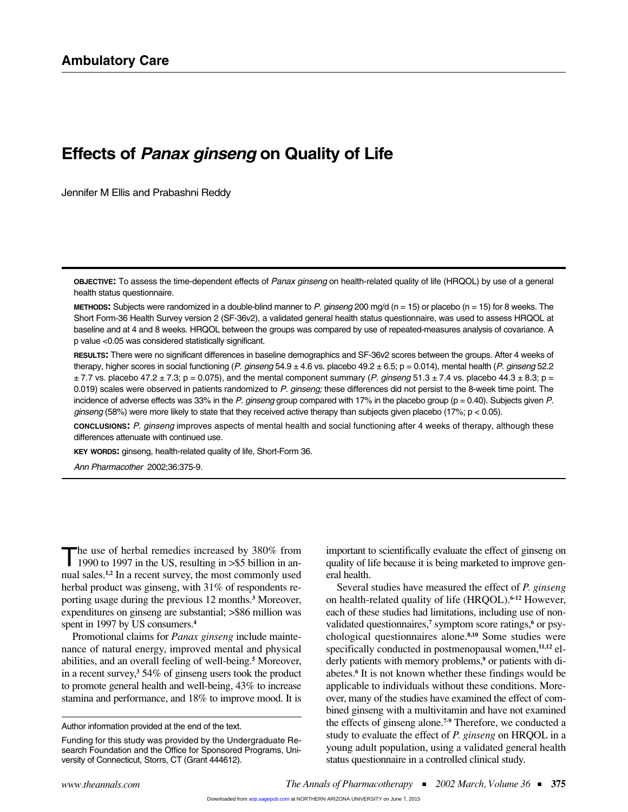# **Effects of** *Panax ginseng* **on Quality of Life**

Jennifer M Ellis and Prabashni Reddy

**OBJECTIVE:** To assess the time-dependent effects of *Panax ginseng* on health-related quality of life (HRQOL) by use of a general health status questionnaire.

**METHODS:** Subjects were randomized in a double-blind manner to *P. ginseng* 200 mg/d (n = 15) or placebo (n = 15) for 8 weeks. The Short Form-36 Health Survey version 2 (SF-36v2), a validated general health status questionnaire, was used to assess HRQOL at baseline and at 4 and 8 weeks. HRQOL between the groups was compared by use of repeated-measures analysis of covariance. A p value <0.05 was considered statistically significant.

**RESULTS:** There were no significant differences in baseline demographics and SF-36v2 scores between the groups. After 4 weeks of therapy, higher scores in social functioning (*P. ginseng* 54.9 ± 4.6 vs. placebo 49.2 ± 6.5; p = 0.014), mental health (*P. ginseng* 52.2  $\pm$  7.7 vs. placebo 47.2  $\pm$  7.3; p = 0.075), and the mental component summary (*P. ginseng* 51.3  $\pm$  7.4 vs. placebo 44.3  $\pm$  8.3; p = 0.019) scales were observed in patients randomized to *P. ginseng;* these differences did not persist to the 8-week time point. The incidence of adverse effects was 33% in the *P. ginseng* group compared with 17% in the placebo group (p = 0.40). Subjects given *P. ginseng* (58%) were more likely to state that they received active therapy than subjects given placebo (17%; p < 0.05).

**CONCLUSIONS:** *P. ginseng* improves aspects of mental health and social functioning after 4 weeks of therapy, although these differences attenuate with continued use.

**KEY WORDS:** ginseng, health-related quality of life, Short-Form 36.

*Ann Pharmacother* 2002;36:375-9.

The use of herbal remedies increased by 380% from<br>1990 to 1997 in the US, resulting in >\$5 billion in annual sales.**1,2** In a recent survey, the most commonly used herbal product was ginseng, with 31% of respondents reporting usage during the previous 12 months.**<sup>3</sup>** Moreover, expenditures on ginseng are substantial; >\$86 million was spent in 1997 by US consumers.**<sup>4</sup>**

Promotional claims for *Panax ginseng* include maintenance of natural energy, improved mental and physical abilities, and an overall feeling of well-being.**<sup>5</sup>** Moreover, in a recent survey,**<sup>3</sup>** 54% of ginseng users took the product to promote general health and well-being, 43% to increase stamina and performance, and 18% to improve mood. It is

Author information provided at the end of the text.

important to scientifically evaluate the effect of ginseng on quality of life because it is being marketed to improve general health.

Several studies have measured the effect of *P. ginseng* on health-related quality of life (HRQOL).**6-12** However, each of these studies had limitations, including use of nonvalidated questionnaires,**<sup>7</sup>** symptom score ratings,**<sup>6</sup>** or psychological questionnaires alone.**8,10** Some studies were specifically conducted in postmenopausal women,**11,12** elderly patients with memory problems,**<sup>9</sup>** or patients with diabetes.**<sup>6</sup>** It is not known whether these findings would be applicable to individuals without these conditions. Moreover, many of the studies have examined the effect of combined ginseng with a multivitamin and have not examined the effects of ginseng alone.**7-9** Therefore, we conducted a study to evaluate the effect of *P. ginseng* on HRQOL in a young adult population, using a validated general health status questionnaire in a controlled clinical study.

Funding for this study was provided by the Undergraduate Research Foundation and the Office for Sponsored Programs, University of Connecticut, Storrs, CT (Grant 444612).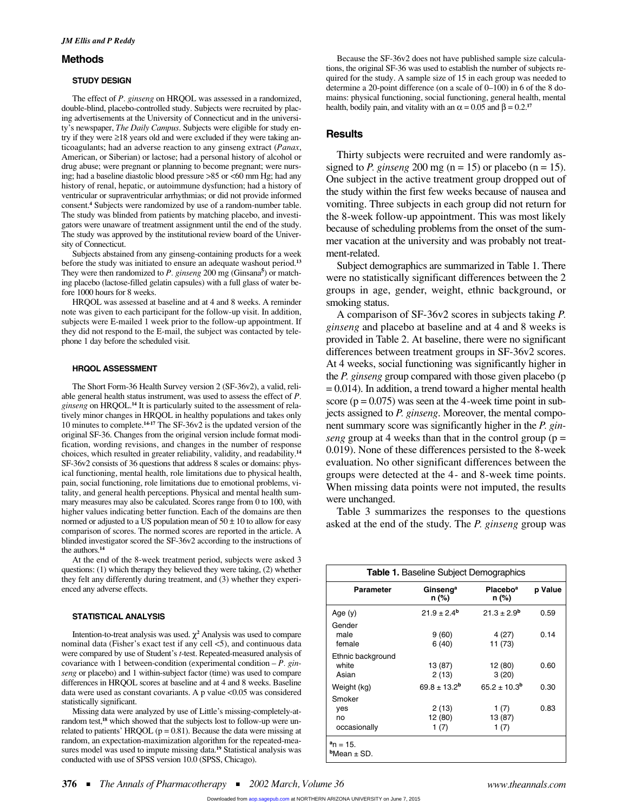# **Methods**

#### **STUDY DESIGN**

The effect of *P. ginseng* on HRQOL was assessed in a randomized, double-blind, placebo-controlled study. Subjects were recruited by placing advertisements at the University of Connecticut and in the university's newspaper, *The Daily Campus*. Subjects were eligible for study entry if they were ≥18 years old and were excluded if they were taking anticoagulants; had an adverse reaction to any ginseng extract (*Panax*, American, or Siberian) or lactose; had a personal history of alcohol or drug abuse; were pregnant or planning to become pregnant; were nursing; had a baseline diastolic blood pressure >85 or <60 mm Hg; had any history of renal, hepatic, or autoimmune dysfunction; had a history of ventricular or supraventricular arrhythmias; or did not provide informed consent.**<sup>4</sup>** Subjects were randomized by use of a random-number table. The study was blinded from patients by matching placebo, and investigators were unaware of treatment assignment until the end of the study. The study was approved by the institutional review board of the University of Connecticut.

Subjects abstained from any ginseng-containing products for a week before the study was initiated to ensure an adequate washout period.**<sup>13</sup>** They were then randomized to *P. ginseng* 200 mg (Ginsana**<sup>5</sup>** ) or matching placebo (lactose-filled gelatin capsules) with a full glass of water before 1000 hours for 8 weeks.

HRQOL was assessed at baseline and at 4 and 8 weeks. A reminder note was given to each participant for the follow-up visit. In addition, subjects were E-mailed 1 week prior to the follow-up appointment. If they did not respond to the E-mail, the subject was contacted by telephone 1 day before the scheduled visit.

#### **HRQOL ASSESSMENT**

The Short Form-36 Health Survey version 2 (SF-36v2), a valid, reliable general health status instrument, was used to assess the effect of *P. ginseng* on HRQOL.**<sup>14</sup>** It is particularly suited to the assessment of relatively minor changes in HRQOL in healthy populations and takes only 10 minutes to complete.**14-17** The SF-36v2 is the updated version of the original SF-36. Changes from the original version include format modification, wording revisions, and changes in the number of response choices, which resulted in greater reliability, validity, and readability.**<sup>14</sup>** SF-36v2 consists of 36 questions that address 8 scales or domains: physical functioning, mental health, role limitations due to physical health, pain, social functioning, role limitations due to emotional problems, vitality, and general health perceptions. Physical and mental health summary measures may also be calculated. Scores range from 0 to 100, with higher values indicating better function. Each of the domains are then normed or adjusted to a US population mean of  $50 \pm 10$  to allow for easy comparison of scores. The normed scores are reported in the article. A blinded investigator scored the SF-36v2 according to the instructions of the authors.**<sup>14</sup>**

At the end of the 8-week treatment period, subjects were asked 3 questions: (1) which therapy they believed they were taking, (2) whether they felt any differently during treatment, and (3) whether they experienced any adverse effects.

#### **STATISTICAL ANALYSIS**

Intention-to-treat analysis was used. χ**<sup>2</sup>** Analysis was used to compare nominal data (Fisher's exact test if any cell <5), and continuous data were compared by use of Student's *t*-test. Repeated-measured analysis of covariance with 1 between-condition (experimental condition – *P. ginseng* or placebo) and 1 within-subject factor (time) was used to compare differences in HRQOL scores at baseline and at 4 and 8 weeks. Baseline data were used as constant covariants. A p value <0.05 was considered statistically significant.

Missing data were analyzed by use of Little's missing-completely-atrandom test,**<sup>18</sup>** which showed that the subjects lost to follow-up were unrelated to patients' HRQOL ( $p = 0.81$ ). Because the data were missing at random, an expectation-maximization algorithm for the repeated-measures model was used to impute missing data.**<sup>19</sup>** Statistical analysis was conducted with use of SPSS version 10.0 (SPSS, Chicago).

Because the SF-36v2 does not have published sample size calculations, the original SF-36 was used to establish the number of subjects required for the study. A sample size of 15 in each group was needed to determine a 20-point difference (on a scale of 0–100) in 6 of the 8 domains: physical functioning, social functioning, general health, mental health, bodily pain, and vitality with an  $\alpha = 0.05$  and  $\beta = 0.2$ <sup>17</sup>

# **Results**

Thirty subjects were recruited and were randomly assigned to *P. ginseng* 200 mg ( $n = 15$ ) or placebo ( $n = 15$ ). One subject in the active treatment group dropped out of the study within the first few weeks because of nausea and vomiting. Three subjects in each group did not return for the 8-week follow-up appointment. This was most likely because of scheduling problems from the onset of the summer vacation at the university and was probably not treatment-related.

Subject demographics are summarized in Table 1. There were no statistically significant differences between the 2 groups in age, gender, weight, ethnic background, or smoking status.

A comparison of SF-36v2 scores in subjects taking *P. ginseng* and placebo at baseline and at 4 and 8 weeks is provided in Table 2. At baseline, there were no significant differences between treatment groups in SF-36v2 scores. At 4 weeks, social functioning was significantly higher in the *P. ginseng* group compared with those given placebo (p  $= 0.014$ ). In addition, a trend toward a higher mental health score  $(p = 0.075)$  was seen at the 4-week time point in subjects assigned to *P. ginseng*. Moreover, the mental component summary score was significantly higher in the *P. ginseng* group at 4 weeks than that in the control group ( $p =$ 0.019). None of these differences persisted to the 8-week evaluation. No other significant differences between the groups were detected at the 4- and 8-week time points. When missing data points were not imputed, the results were unchanged.

Table 3 summarizes the responses to the questions asked at the end of the study. The *P. ginseng* group was

| <b>Table 1. Baseline Subject Demographics</b> |                               |                               |         |  |
|-----------------------------------------------|-------------------------------|-------------------------------|---------|--|
| <b>Parameter</b>                              | Ginseng <sup>a</sup><br>n (%) | Placebo <sup>a</sup><br>n (%) | p Value |  |
| Age $(y)$                                     | $21.9 \pm 2.4^{\rm b}$        | $21.3 \pm 2.9^b$              | 0.59    |  |
| Gender<br>male<br>female                      | 9(60)<br>6 (40)               | 4 (27)<br>11 (73)             | 0.14    |  |
| Ethnic background<br>white<br>Asian           | 13 (87)<br>2 (13)             | 12 (80)<br>3(20)              | 0.60    |  |
| Weight (kg)                                   | $69.8 \pm 13.2^{\rm b}$       | $65.2 \pm 10.3^{\rm b}$       | 0.30    |  |
| Smoker<br>ves<br>no<br>occasionally           | 2(13)<br>12 (80)<br>1 (7)     | 1 (7)<br>13 (87)<br>1 (7)     | 0.83    |  |
| $a_n = 15$ .<br>$b$ Mean $\pm$ SD.            |                               |                               |         |  |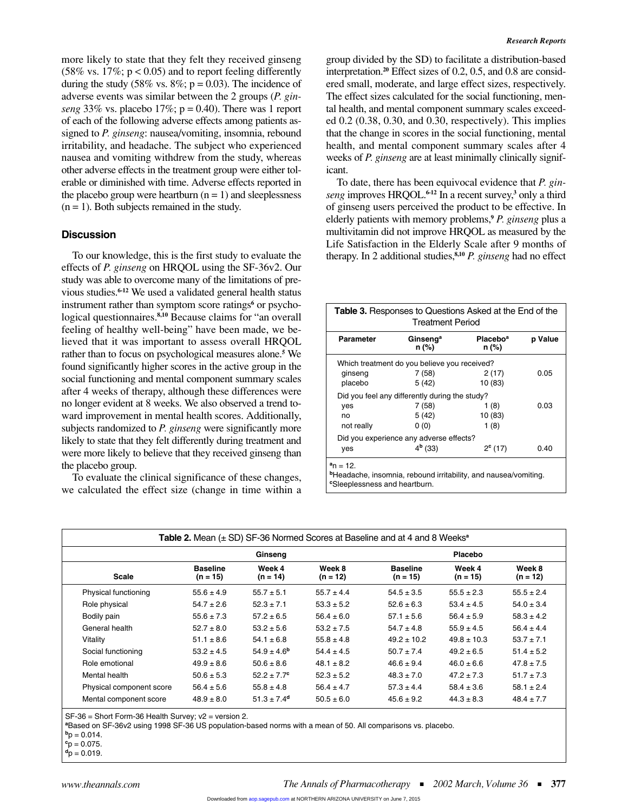more likely to state that they felt they received ginseng  $(58\% \text{ vs. } 17\%; \text{ p} < 0.05)$  and to report feeling differently during the study (58% vs. 8%;  $p = 0.03$ ). The incidence of adverse events was similar between the 2 groups (*P. ginseng* 33% vs. placebo 17%;  $p = 0.40$ ). There was 1 report of each of the following adverse effects among patients assigned to *P. ginseng*: nausea/vomiting, insomnia, rebound irritability, and headache. The subject who experienced nausea and vomiting withdrew from the study, whereas other adverse effects in the treatment group were either tolerable or diminished with time. Adverse effects reported in the placebo group were heartburn  $(n = 1)$  and sleeplessness  $(n = 1)$ . Both subjects remained in the study.

## **Discussion**

To our knowledge, this is the first study to evaluate the effects of *P. ginseng* on HRQOL using the SF-36v2. Our study was able to overcome many of the limitations of previous studies.**6-12** We used a validated general health status instrument rather than symptom score ratings<sup>6</sup> or psychological questionnaires.**8,10** Because claims for "an overall feeling of healthy well-being" have been made, we believed that it was important to assess overall HRQOL rather than to focus on psychological measures alone.**<sup>5</sup>** We found significantly higher scores in the active group in the social functioning and mental component summary scales after 4 weeks of therapy, although these differences were no longer evident at 8 weeks. We also observed a trend toward improvement in mental health scores. Additionally, subjects randomized to *P. ginseng* were significantly more likely to state that they felt differently during treatment and were more likely to believe that they received ginseng than the placebo group.

To evaluate the clinical significance of these changes, we calculated the effect size (change in time within a

group divided by the SD) to facilitate a distribution-based interpretation.**<sup>20</sup>** Effect sizes of 0.2, 0.5, and 0.8 are considered small, moderate, and large effect sizes, respectively. The effect sizes calculated for the social functioning, mental health, and mental component summary scales exceeded 0.2 (0.38, 0.30, and 0.30, respectively). This implies that the change in scores in the social functioning, mental health, and mental component summary scales after 4 weeks of *P. ginseng* are at least minimally clinically significant.

To date, there has been equivocal evidence that *P. ginseng* improves HRQOL.**6-12** In a recent survey,**<sup>3</sup>** only a third of ginseng users perceived the product to be effective. In elderly patients with memory problems,**<sup>9</sup>** *P. ginseng* plus a multivitamin did not improve HRQOL as measured by the Life Satisfaction in the Elderly Scale after 9 months of therapy. In 2 additional studies,**8,10** *P. ginseng* had no effect

| <b>Table 3.</b> Responses to Questions Asked at the End of the<br><b>Treatment Period</b> |                                                                             |                                      |         |  |  |
|-------------------------------------------------------------------------------------------|-----------------------------------------------------------------------------|--------------------------------------|---------|--|--|
| Parameter                                                                                 | Ginseng <sup>a</sup><br>n (%)                                               | <b>Placebo</b> <sup>a</sup><br>n (%) | p Value |  |  |
|                                                                                           | Which treatment do you believe you received?                                |                                      |         |  |  |
| ginseng                                                                                   | 7 (58)                                                                      | 2(17)                                | 0.05    |  |  |
| placebo                                                                                   | 5 (42)                                                                      | 10 (83)                              |         |  |  |
|                                                                                           | Did you feel any differently during the study?                              |                                      |         |  |  |
| ves                                                                                       | 7 (58)                                                                      | 1 (8)                                | 0.03    |  |  |
| no                                                                                        | 5 (42)                                                                      | 10 (83)                              |         |  |  |
| not really                                                                                | 0(0)                                                                        | 1(8)                                 |         |  |  |
|                                                                                           | Did you experience any adverse effects?                                     |                                      |         |  |  |
| yes                                                                                       | $4b$ (33)                                                                   | $2^c(17)$                            | 0.40    |  |  |
| $a_n = 12$ .<br><sup>c</sup> Sleeplessness and heartburn.                                 | <sup>b</sup> Headache, insomnia, rebound irritability, and nausea/vomiting. |                                      |         |  |  |

| <b>Scale</b>             | Ginseng                       |                             | Placebo              |                               |                      |                      |
|--------------------------|-------------------------------|-----------------------------|----------------------|-------------------------------|----------------------|----------------------|
|                          | <b>Baseline</b><br>$(n = 15)$ | Week 4<br>$(n = 14)$        | Week 8<br>$(n = 12)$ | <b>Baseline</b><br>$(n = 15)$ | Week 4<br>$(n = 15)$ | Week 8<br>$(n = 12)$ |
| Physical functioning     | $55.6 \pm 4.9$                | $55.7 \pm 5.1$              | $55.7 \pm 4.4$       | $54.5 \pm 3.5$                | $55.5 \pm 2.3$       | $55.5 \pm 2.4$       |
| Role physical            | $54.7 \pm 2.6$                | $52.3 \pm 7.1$              | $53.3 \pm 5.2$       | $52.6 \pm 6.3$                | $53.4 \pm 4.5$       | $54.0 \pm 3.4$       |
| Bodily pain              | $55.6 \pm 7.3$                | $57.2 \pm 6.5$              | $56.4 \pm 6.0$       | $57.1 \pm 5.6$                | $56.4 \pm 5.9$       | $58.3 \pm 4.2$       |
| General health           | $52.7 \pm 8.0$                | $53.2 \pm 5.6$              | $53.2 \pm 7.5$       | $54.7 \pm 4.8$                | $55.9 \pm 4.5$       | $56.4 \pm 4.4$       |
| Vitality                 | $51.1 \pm 8.6$                | $54.1 \pm 6.8$              | $55.8 \pm 4.8$       | $49.2 \pm 10.2$               | $49.8 \pm 10.3$      | $53.7 \pm 7.1$       |
| Social functioning       | $53.2 \pm 4.5$                | $54.9 \pm 4.6^{\rm b}$      | $54.4 \pm 4.5$       | $50.7 \pm 7.4$                | $49.2 \pm 6.5$       | $51.4 \pm 5.2$       |
| Role emotional           | $49.9 \pm 8.6$                | $50.6 \pm 8.6$              | $48.1 \pm 8.2$       | $46.6 \pm 9.4$                | $46.0 \pm 6.6$       | $47.8 \pm 7.5$       |
| Mental health            | $50.6 \pm 5.3$                | $52.2 \pm 7.7^c$            | $52.3 \pm 5.2$       | $48.3 \pm 7.0$                | $47.2 \pm 7.3$       | $51.7 \pm 7.3$       |
| Physical component score | $56.4 \pm 5.6$                | $55.8 \pm 4.8$              | $56.4 \pm 4.7$       | $57.3 \pm 4.4$                | $58.4 \pm 3.6$       | $58.1 \pm 2.4$       |
| Mental component score   | $48.9 \pm 8.0$                | $51.3 \pm 7.4$ <sup>d</sup> | $50.5 \pm 6.0$       | $45.6 \pm 9.2$                | $44.3 \pm 8.3$       | $48.4 \pm 7.7$       |

SF-36 = Short Form-36 Health Survey; v2 = version 2.

**<sup>a</sup>**Based on SF-36v2 using 1998 SF-36 US population-based norms with a mean of 50. All comparisons vs. placebo.

 $^{b}p = 0.014$ .

 $c_p = 0.075$ .

 $\mathbf{d}$ <sub>p</sub> = 0.019.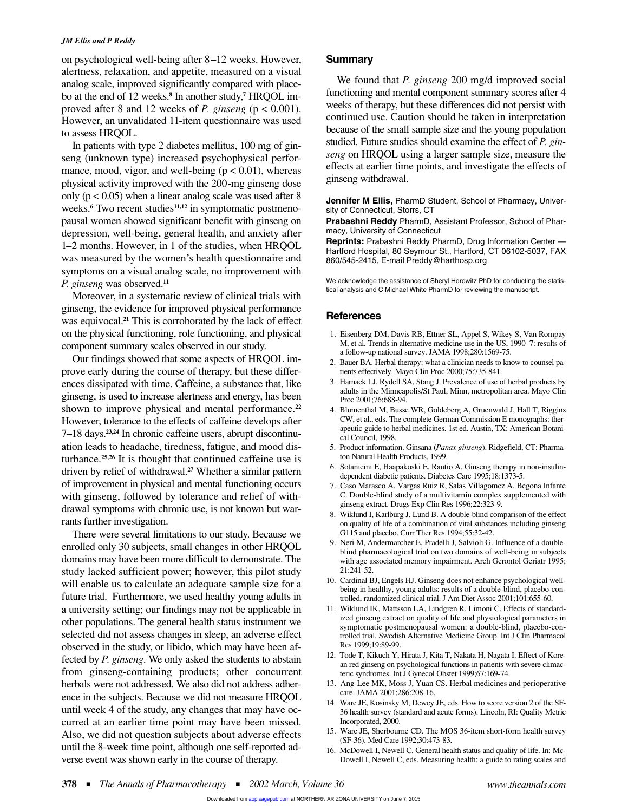### *JM Ellis and P Reddy*

on psychological well-being after 8–12 weeks. However, alertness, relaxation, and appetite, measured on a visual analog scale, improved significantly compared with placebo at the end of 12 weeks.**<sup>8</sup>** In another study,**<sup>7</sup>** HRQOL improved after 8 and 12 weeks of *P. ginseng* (p < 0.001). However, an unvalidated 11-item questionnaire was used to assess HRQOL.

In patients with type 2 diabetes mellitus, 100 mg of ginseng (unknown type) increased psychophysical performance, mood, vigor, and well-being  $(p < 0.01)$ , whereas physical activity improved with the 200-mg ginseng dose only ( $p < 0.05$ ) when a linear analog scale was used after 8 weeks.**<sup>6</sup>** Two recent studies**11,12** in symptomatic postmenopausal women showed significant benefit with ginseng on depression, well-being, general health, and anxiety after 1–2 months. However, in 1 of the studies, when HRQOL was measured by the women's health questionnaire and symptoms on a visual analog scale, no improvement with *P. ginseng* was observed.**<sup>11</sup>**

Moreover, in a systematic review of clinical trials with ginseng, the evidence for improved physical performance was equivocal.**<sup>21</sup>** This is corroborated by the lack of effect on the physical functioning, role functioning, and physical component summary scales observed in our study.

Our findings showed that some aspects of HRQOL improve early during the course of therapy, but these differences dissipated with time. Caffeine, a substance that, like ginseng, is used to increase alertness and energy, has been shown to improve physical and mental performance.**<sup>22</sup>** However, tolerance to the effects of caffeine develops after 7–18 days.**23,24** In chronic caffeine users, abrupt discontinuation leads to headache, tiredness, fatigue, and mood disturbance.**25,26** It is thought that continued caffeine use is driven by relief of withdrawal.**<sup>27</sup>** Whether a similar pattern of improvement in physical and mental functioning occurs with ginseng, followed by tolerance and relief of withdrawal symptoms with chronic use, is not known but warrants further investigation.

There were several limitations to our study. Because we enrolled only 30 subjects, small changes in other HRQOL domains may have been more difficult to demonstrate. The study lacked sufficient power; however, this pilot study will enable us to calculate an adequate sample size for a future trial. Furthermore, we used healthy young adults in a university setting; our findings may not be applicable in other populations. The general health status instrument we selected did not assess changes in sleep, an adverse effect observed in the study, or libido, which may have been affected by *P. ginseng*. We only asked the students to abstain from ginseng-containing products; other concurrent herbals were not addressed. We also did not address adherence in the subjects. Because we did not measure HRQOL until week 4 of the study, any changes that may have occurred at an earlier time point may have been missed. Also, we did not question subjects about adverse effects until the 8-week time point, although one self-reported adverse event was shown early in the course of therapy.

# **Summary**

We found that *P. ginseng* 200 mg/d improved social functioning and mental component summary scores after 4 weeks of therapy, but these differences did not persist with continued use. Caution should be taken in interpretation because of the small sample size and the young population studied. Future studies should examine the effect of *P. ginseng* on HRQOL using a larger sample size, measure the effects at earlier time points, and investigate the effects of ginseng withdrawal.

**Jennifer M Ellis,** PharmD Student, School of Pharmacy, University of Connecticut, Storrs, CT

**Prabashni Reddy** PharmD, Assistant Professor, School of Pharmacy, University of Connecticut

**Reprints:** Prabashni Reddy PharmD, Drug Information Center — Hartford Hospital, 80 Seymour St., Hartford, CT 06102-5037, FAX 860/545-2415, E-mail Preddy@harthosp.org

We acknowledge the assistance of Sheryl Horowitz PhD for conducting the statistical analysis and C Michael White PharmD for reviewing the manuscript.

# **References**

- 1. Eisenberg DM, Davis RB, Ettner SL, Appel S, Wikey S, Van Rompay M, et al. Trends in alternative medicine use in the US, 1990–7: results of a follow-up national survey. JAMA 1998;280:1569-75.
- 2. Bauer BA. Herbal therapy: what a clinician needs to know to counsel patients effectively. Mayo Clin Proc 2000;75:735-841.
- 3. Harnack LJ, Rydell SA, Stang J. Prevalence of use of herbal products by adults in the Minneapolis/St Paul, Minn, metropolitan area. Mayo Clin Proc 2001;76:688-94.
- 4. Blumenthal M, Busse WR, Goldeberg A, Gruenwald J, Hall T, Riggins CW, et al., eds. The complete German Commission E monographs: therapeutic guide to herbal medicines. 1st ed. Austin, TX: American Botanical Council, 1998.
- 5. Product information. Ginsana (*Panax ginseng*). Ridgefield, CT: Pharmaton Natural Health Products, 1999.
- 6. Sotaniemi E, Haapakoski E, Rautio A. Ginseng therapy in non-insulindependent diabetic patients. Diabetes Care 1995;18:1373-5.
- 7. Caso Marasco A, Vargas Ruiz R, Salas Villagomez A, Begona Infante C. Double-blind study of a multivitamin complex supplemented with ginseng extract. Drugs Exp Clin Res 1996;22:323-9.
- 8. Wiklund I, Karlburg J, Lund B. A double-blind comparison of the effect on quality of life of a combination of vital substances including ginseng G115 and placebo. Curr Ther Res 1994;55:32-42.
- 9. Neri M, Andermarcher E, Pradelli J, Salvioli G. Influence of a doubleblind pharmacological trial on two domains of well-being in subjects with age associated memory impairment. Arch Gerontol Geriatr 1995; 21:241-52.
- 10. Cardinal BJ, Engels HJ. Ginseng does not enhance psychological wellbeing in healthy, young adults: results of a double-blind, placebo-controlled, randomized clinical trial. J Am Diet Assoc 2001;101:655-60.
- 11. Wiklund IK, Mattsson LA, Lindgren R, Limoni C. Effects of standardized ginseng extract on quality of life and physiological parameters in symptomatic postmenopausal women: a double-blind, placebo-controlled trial. Swedish Alternative Medicine Group. Int J Clin Pharmacol Res 1999;19:89-99.
- 12. Tode T, Kikuch Y, Hirata J, Kita T, Nakata H, Nagata I. Effect of Korean red ginseng on psychological functions in patients with severe climacteric syndromes. Int J Gynecol Obstet 1999;67:169-74.
- 13. Ang-Lee MK, Moss J, Yuan CS. Herbal medicines and perioperative care. JAMA 2001;286:208-16.
- 14. Ware JE, Kosinsky M, Dewey JE, eds. How to score version 2 of the SF-36 health survey (standard and acute forms). Lincoln, RI: Quality Metric Incorporated, 2000.
- 15. Ware JE, Sherbourne CD. The MOS 36-item short-form health survey (SF-36). Med Care 1992;30:473-83.
- 16. McDowell I, Newell C. General health status and quality of life. In: Mc-Dowell I, Newell C, eds. Measuring health: a guide to rating scales and